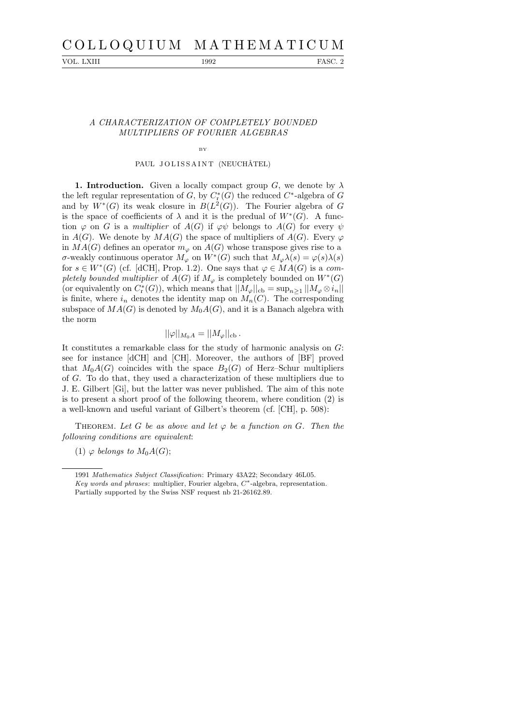# C O L L O Q U I U M M A T H E M A T I C U M

VOL. LXIII 1992 FASC. 2

## A CHARACTERIZATION OF COMPLETELY BOUNDED MULTIPLIERS OF FOURIER ALGEBRAS

## BY

#### PAUL JOLISSAINT (NEUCHÂTEL)

1. Introduction. Given a locally compact group G, we denote by  $\lambda$ the left regular representation of  $G$ , by  $C^*_{\mathbf{r}}(G)$  the reduced  $C^*$ -algebra of  $G$ and by  $W^*(G)$  its weak closure in  $B(L^2(G))$ . The Fourier algebra of G is the space of coefficients of  $\lambda$  and it is the predual of  $W^*(G)$ . A function  $\varphi$  on G is a multiplier of  $A(G)$  if  $\varphi\psi$  belongs to  $A(G)$  for every  $\psi$ in  $A(G)$ . We denote by  $MA(G)$  the space of multipliers of  $A(G)$ . Every  $\varphi$ in  $MA(G)$  defines an operator  $m_{\varphi}$  on  $A(G)$  whose transpose gives rise to a σ-weakly continuous operator  $M_{\varphi}$  on  $W^*(G)$  such that  $M_{\varphi} \lambda(s) = \varphi(s) \lambda(s)$ for  $s \in W^*(G)$  (cf. [dCH], Prop. 1.2). One says that  $\varphi \in MA(G)$  is a completely bounded multiplier of  $A(G)$  if  $M_{\varphi}$  is completely bounded on  $W^*(G)$ (or equivalently on  $C_r^*(G)$ ), which means that  $||M_\varphi||_{cb} = \sup_{n \geq 1} ||M_\varphi \otimes i_n||$ is finite, where  $i_n$  denotes the identity map on  $M_n(C)$ . The corresponding subspace of  $MA(G)$  is denoted by  $M_0A(G)$ , and it is a Banach algebra with the norm

# $||\varphi||_{M_0A} = ||M_\varphi||_{\text{cb}}$ .

It constitutes a remarkable class for the study of harmonic analysis on G: see for instance [dCH] and [CH]. Moreover, the authors of [BF] proved that  $M_0A(G)$  coincides with the space  $B_2(G)$  of Herz–Schur multipliers of G. To do that, they used a characterization of these multipliers due to J. E. Gilbert [Gi], but the latter was never published. The aim of this note is to present a short proof of the following theorem, where condition (2) is a well-known and useful variant of Gilbert's theorem (cf. [CH], p. 508):

THEOREM. Let G be as above and let  $\varphi$  be a function on G. Then the following conditions are equivalent:

(1)  $\varphi$  belongs to  $M_0A(G);$ 

<sup>1991</sup> Mathematics Subject Classification: Primary 43A22; Secondary 46L05. Key words and phrases: multiplier, Fourier algebra,  $C^*$ -algebra, representation. Partially supported by the Swiss NSF request nb 21-26162.89.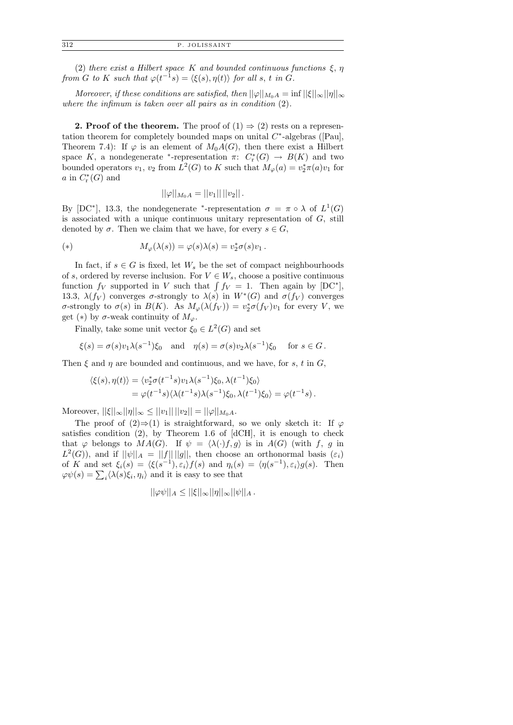(2) there exist a Hilbert space K and bounded continuous functions  $\xi$ ,  $\eta$ from G to K such that  $\varphi(t^{-1}s) = \langle \xi(s), \eta(t) \rangle$  for all s, t in G.

Moreover, if these conditions are satisfied, then  $||\varphi||_{M_0A} = \inf ||\xi||_{\infty} ||\eta||_{\infty}$ where the infimum is taken over all pairs as in condition  $(2)$ .

**2. Proof of the theorem.** The proof of  $(1) \Rightarrow (2)$  rests on a representation theorem for completely bounded maps on unital  $C^*$ -algebras ([Pau], Theorem 7.4): If  $\varphi$  is an element of  $M_0A(G)$ , then there exist a Hilbert space K, a nondegenerate \*-representation  $\pi: C^*(G) \to B(K)$  and two bounded operators  $v_1$ ,  $v_2$  from  $L^2(G)$  to K such that  $M_\varphi(a) = v_2^* \pi(a) v_1$  for a in  $C^*_r(G)$  and

$$
||\varphi||_{M_0A} = ||v_1|| \, ||v_2|| \, .
$$

By [DC<sup>\*</sup>], 13.3, the nondegenerate <sup>\*</sup>-representation  $\sigma = \pi \circ \lambda$  of  $L^1(G)$ is associated with a unique continuous unitary representation of  $G$ , still denoted by  $\sigma$ . Then we claim that we have, for every  $s \in G$ ,

(\*) 
$$
M_{\varphi}(\lambda(s)) = \varphi(s)\lambda(s) = v_2^*\sigma(s)v_1.
$$

In fact, if  $s \in G$  is fixed, let  $W_s$  be the set of compact neighbourhoods of s, ordered by reverse inclusion. For  $V \in W_s$ , choose a positive continuous function  $f_V$  supported in V such that  $\int f_V = 1$ . Then again by [DC<sup>\*</sup>], 13.3,  $\lambda(f_V)$  converges  $\sigma$ -strongly to  $\lambda(s)$  in  $W^*(G)$  and  $\sigma(f_V)$  converges σ-strongly to  $\sigma(s)$  in  $B(K)$ . As  $M_{\varphi}(\lambda(f_V)) = v_2^* \sigma(f_V) v_1$  for every V, we get (\*) by  $\sigma$ -weak continuity of  $M_{\varphi}$ .

Finally, take some unit vector  $\xi_0 \in L^2(G)$  and set

 $\xi(s) = \sigma(s)v_1\lambda(s^{-1})\xi_0$  and  $\eta(s) = \sigma(s)v_2\lambda(s^{-1})$ for  $s \in G$ .

Then  $\xi$  and  $\eta$  are bounded and continuous, and we have, for s, t in G,

$$
\langle \xi(s), \eta(t) \rangle = \langle v_2^* \sigma(t^{-1}s) v_1 \lambda(s^{-1}) \xi_0, \lambda(t^{-1}) \xi_0 \rangle
$$
  
=  $\varphi(t^{-1}s) \langle \lambda(t^{-1}s) \lambda(s^{-1}) \xi_0, \lambda(t^{-1}) \xi_0 \rangle = \varphi(t^{-1}s).$ 

Moreover,  $||\xi||_{\infty}||\eta||_{\infty} \leq ||v_1|| \, ||v_2|| = ||\varphi||_{M_0A}$ .

The proof of  $(2) \Rightarrow (1)$  is straightforward, so we only sketch it: If  $\varphi$ satisfies condition (2), by Theorem 1.6 of [dCH], it is enough to check that  $\varphi$  belongs to  $MA(G)$ . If  $\psi = \langle \lambda(\cdot)f, g \rangle$  is in  $A(G)$  (with f, g in  $L^2(G)$ , and if  $||\psi||_A = ||f|| ||g||$ , then choose an orthonormal basis  $(\varepsilon_i)$ of K and set  $\xi_i(s) = \langle \xi(s^{-1}), \varepsilon_i \rangle f(s)$  and  $\eta_i(s) = \langle \eta(s^{-1}), \varepsilon_i \rangle g(s)$ . Then  $\varphi\psi(s) = \sum_{i} \langle \lambda(s)\xi_i, \eta_i \rangle$  and it is easy to see that

$$
||\varphi\psi||_A\leq ||\xi||_{\infty}||\eta||_{\infty}||\psi||_A.
$$